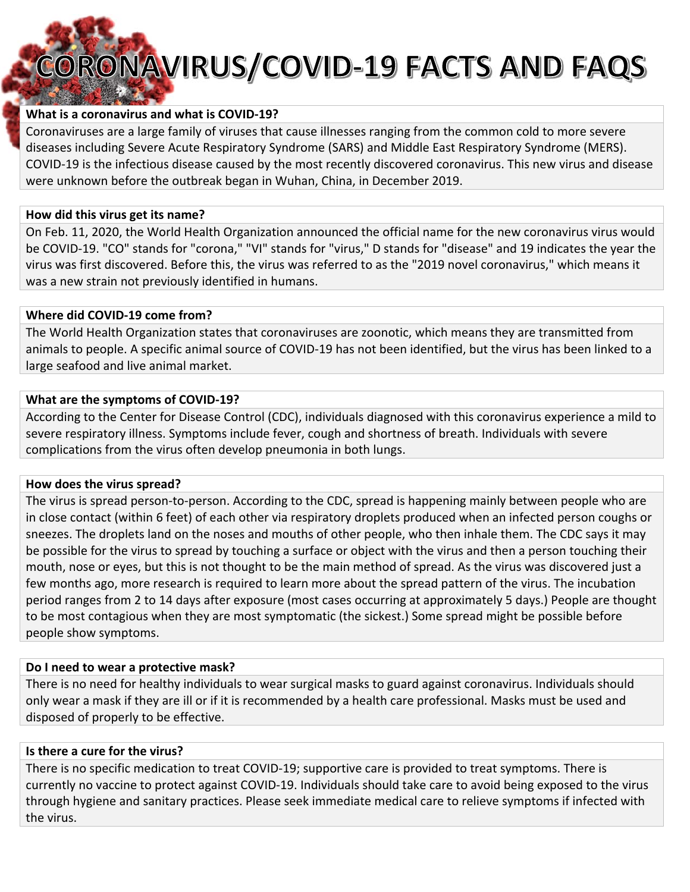# **CORONAVIRUS/COVID-19 FACTS AND FAQS**

# **What is a coronavirus and what is COVID‐19?**

Coronaviruses are a large family of viruses that cause illnesses ranging from the common cold to more severe diseases including Severe Acute Respiratory Syndrome (SARS) and Middle East Respiratory Syndrome (MERS). COVID‐19 is the infectious disease caused by the most recently discovered coronavirus. This new virus and disease were unknown before the outbreak began in Wuhan, China, in December 2019.

#### **How did this virus get its name?**

On Feb. 11, 2020, the World Health Organization announced the official name for the new coronavirus virus would be COVID‐19. "CO" stands for "corona," "VI" stands for "virus," D stands for "disease" and 19 indicates the year the virus was first discovered. Before this, the virus was referred to as the "2019 novel coronavirus," which means it was a new strain not previously identified in humans.

### **Where did COVID‐19 come from?**

The World Health Organization states that coronaviruses are zoonotic, which means they are transmitted from animals to people. A specific animal source of COVID‐19 has not been identified, but the virus has been linked to a large seafood and live animal market.

### **What are the symptoms of COVID‐19?**

According to the Center for Disease Control (CDC), individuals diagnosed with this coronavirus experience a mild to severe respiratory illness. Symptoms include fever, cough and shortness of breath. Individuals with severe complications from the virus often develop pneumonia in both lungs.

## **How does the virus spread?**

The virus is spread person-to-person. According to the CDC, spread is happening mainly between people who are in close contact (within 6 feet) of each other via respiratory droplets produced when an infected person coughs or sneezes. The droplets land on the noses and mouths of other people, who then inhale them. The CDC says it may be possible for the virus to spread by touching a surface or object with the virus and then a person touching their mouth, nose or eyes, but this is not thought to be the main method of spread. As the virus was discovered just a few months ago, more research is required to learn more about the spread pattern of the virus. The incubation period ranges from 2 to 14 days after exposure (most cases occurring at approximately 5 days.) People are thought to be most contagious when they are most symptomatic (the sickest.) Some spread might be possible before people show symptoms.

## **Do I need to wear a protective mask?**

There is no need for healthy individuals to wear surgical masks to guard against coronavirus. Individuals should only wear a mask if they are ill or if it is recommended by a health care professional. Masks must be used and disposed of properly to be effective.

#### **Is there a cure for the virus?**

There is no specific medication to treat COVID‐19; supportive care is provided to treat symptoms. There is currently no vaccine to protect against COVID‐19. Individuals should take care to avoid being exposed to the virus through hygiene and sanitary practices. Please seek immediate medical care to relieve symptoms if infected with the virus.